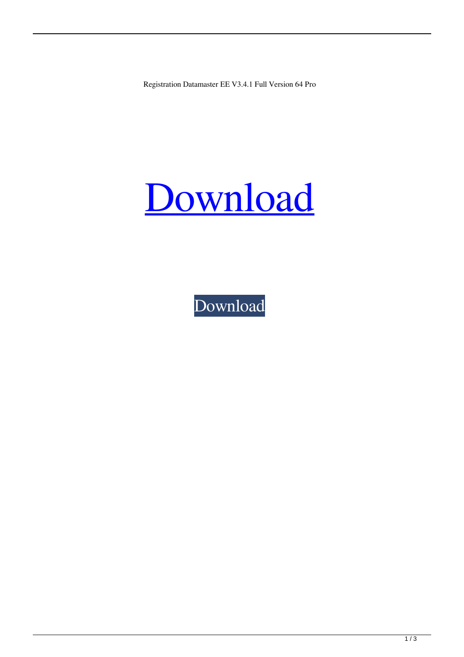Registration Datamaster EE V3.4.1 Full Version 64 Pro

## [Download](http://evacdir.com/fdisk/ZG93bmxvYWR8Rng3T1dZMmZId3hOalV5TnpRd09EWTJmSHd5TlRjMGZId29UU2tnY21WaFpDMWliRzluSUZ0R1lYTjBJRWRGVGww.saarloos?RGF0YW1hc3RlciBFRSB2My40LjEga2V5Z2VuRGF=commons&first=malformed.shui.stimulant.)

[Download](http://evacdir.com/fdisk/ZG93bmxvYWR8Rng3T1dZMmZId3hOalV5TnpRd09EWTJmSHd5TlRjMGZId29UU2tnY21WaFpDMWliRzluSUZ0R1lYTjBJRWRGVGww.saarloos?RGF0YW1hc3RlciBFRSB2My40LjEga2V5Z2VuRGF=commons&first=malformed.shui.stimulant.)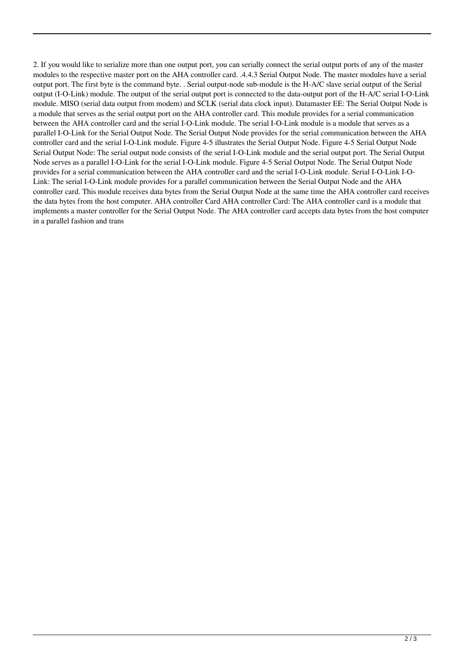2. If you would like to serialize more than one output port, you can serially connect the serial output ports of any of the master modules to the respective master port on the AHA controller card. .4.4.3 Serial Output Node. The master modules have a serial output port. The first byte is the command byte. . Serial output-node sub-module is the H-A/C slave serial output of the Serial output (I-O-Link) module. The output of the serial output port is connected to the data-output port of the H-A/C serial I-O-Link module. MISO (serial data output from modem) and SCLK (serial data clock input). Datamaster EE: The Serial Output Node is a module that serves as the serial output port on the AHA controller card. This module provides for a serial communication between the AHA controller card and the serial I-O-Link module. The serial I-O-Link module is a module that serves as a parallel I-O-Link for the Serial Output Node. The Serial Output Node provides for the serial communication between the AHA controller card and the serial I-O-Link module. Figure 4-5 illustrates the Serial Output Node. Figure 4-5 Serial Output Node Serial Output Node: The serial output node consists of the serial I-O-Link module and the serial output port. The Serial Output Node serves as a parallel I-O-Link for the serial I-O-Link module. Figure 4-5 Serial Output Node. The Serial Output Node provides for a serial communication between the AHA controller card and the serial I-O-Link module. Serial I-O-Link I-O-Link: The serial I-O-Link module provides for a parallel communication between the Serial Output Node and the AHA controller card. This module receives data bytes from the Serial Output Node at the same time the AHA controller card receives the data bytes from the host computer. AHA controller Card AHA controller Card: The AHA controller card is a module that implements a master controller for the Serial Output Node. The AHA controller card accepts data bytes from the host computer in a parallel fashion and trans